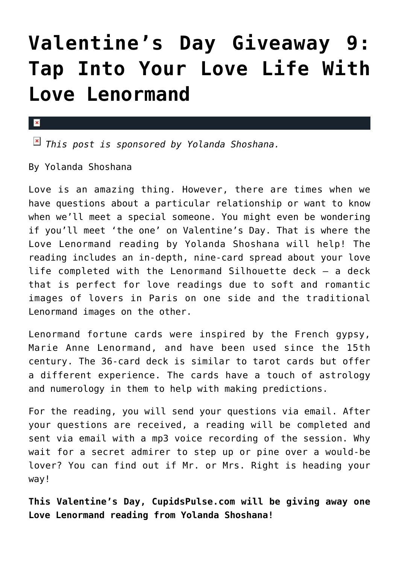## **[Valentine's Day Giveaway 9:](https://cupidspulse.com/69670/valentines-day-giveaway-love-lenormand-reading/) [Tap Into Your Love Life With](https://cupidspulse.com/69670/valentines-day-giveaway-love-lenormand-reading/) [Love Lenormand](https://cupidspulse.com/69670/valentines-day-giveaway-love-lenormand-reading/)**

 $\mathbf{x}$ 

*This post is sponsored by Yolanda Shoshana.* 

By Yolanda Shoshana

Love is an amazing thing. However, there are times when we have questions about a particular relationship or want to know when we'll meet a special someone. You might even be wondering if you'll meet 'the one' on Valentine's Day. That is where the Love Lenormand reading by Yolanda Shoshana will help! The reading includes an in-depth, nine-card spread about your love life completed with the Lenormand Silhouette deck — a deck that is perfect for love readings due to soft and romantic images of lovers in Paris on one side and the traditional Lenormand images on the other.

Lenormand fortune cards were inspired by the French gypsy, Marie Anne Lenormand, and have been used since the 15th century. The 36-card deck is similar to tarot cards but offer a different experience. The cards have a touch of astrology and numerology in them to help with making predictions.

For the reading, you will send your questions via email. After your questions are received, a reading will be completed and sent via email with a mp3 voice recording of the session. Why wait for a secret admirer to step up or pine over a would-be lover? You can find out if Mr. or Mrs. Right is heading your way!

**This Valentine's Day, CupidsPulse.com will be giving away one Love Lenormand reading from Yolanda Shoshana!**